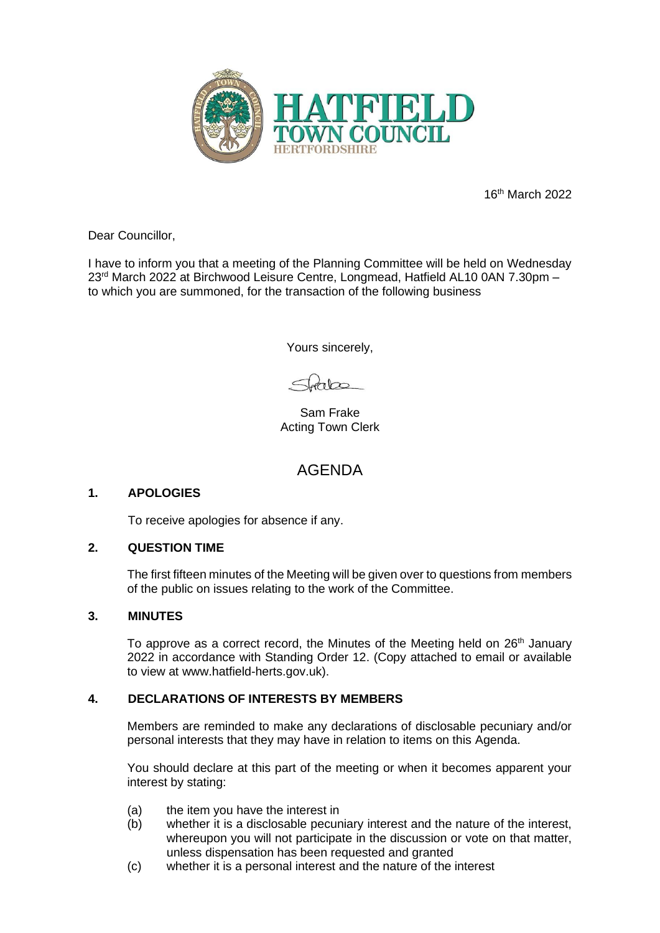

16th March 2022

Dear Councillor,

I have to inform you that a meeting of the Planning Committee will be held on Wednesday 23 rd March 2022 at Birchwood Leisure Centre, Longmead, Hatfield AL10 0AN 7.30pm – to which you are summoned, for the transaction of the following business

Yours sincerely,

 $\frac{1}{2}$ 

Sam Frake Acting Town Clerk

# AGENDA

## **1. APOLOGIES**

To receive apologies for absence if any.

#### **2. QUESTION TIME**

The first fifteen minutes of the Meeting will be given over to questions from members of the public on issues relating to the work of the Committee.

#### **3. MINUTES**

To approve as a correct record, the Minutes of the Meeting held on  $26<sup>th</sup>$  January 2022 in accordance with Standing Order 12. (Copy attached to email or available to view at www.hatfield-herts.gov.uk).

#### **4. DECLARATIONS OF INTERESTS BY MEMBERS**

Members are reminded to make any declarations of disclosable pecuniary and/or personal interests that they may have in relation to items on this Agenda.

You should declare at this part of the meeting or when it becomes apparent your interest by stating:

- (a) the item you have the interest in
- (b) whether it is a disclosable pecuniary interest and the nature of the interest, whereupon you will not participate in the discussion or vote on that matter, unless dispensation has been requested and granted
- (c) whether it is a personal interest and the nature of the interest